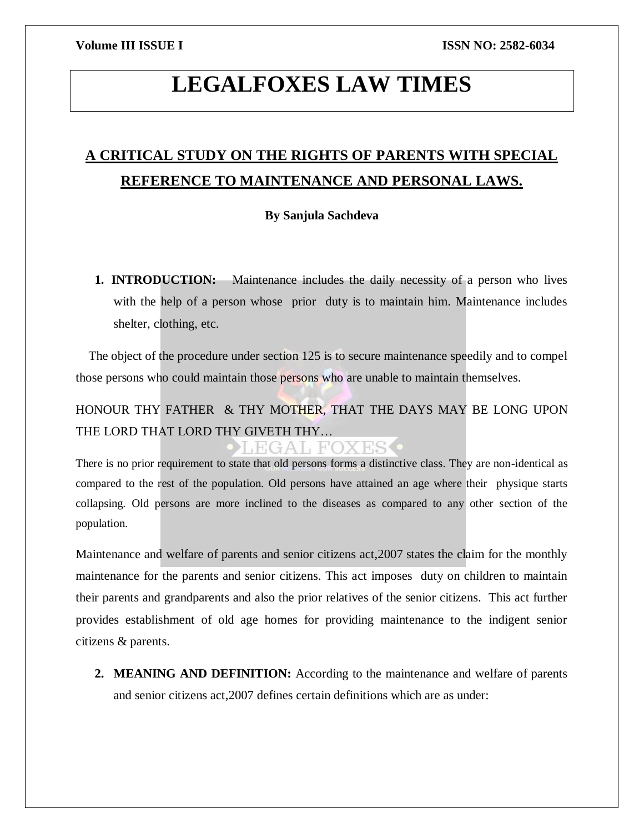# **LEGALFOXES LAW TIMES**

## **A CRITICAL STUDY ON THE RIGHTS OF PARENTS WITH SPECIAL REFERENCE TO MAINTENANCE AND PERSONAL LAWS.**

### **By Sanjula Sachdeva**

**1. INTRODUCTION:** Maintenance includes the daily necessity of a person who lives with the help of a person whose prior duty is to maintain him. Maintenance includes shelter, clothing, etc.

 The object of the procedure under section 125 is to secure maintenance speedily and to compel those persons who could maintain those persons who are unable to maintain themselves.

## HONOUR THY FATHER & THY MOTHER, THAT THE DAYS MAY BE LONG UPON THE LORD THAT LORD THY GIVETH THY…

EGAL FOXES

There is no prior requirement to state that old persons forms a distinctive class. They are non-identical as compared to the rest of the population. Old persons have attained an age where their physique starts collapsing. Old persons are more inclined to the diseases as compared to any other section of the population.

Maintenance and welfare of parents and senior citizens act,2007 states the claim for the monthly maintenance for the parents and senior citizens. This act imposes duty on children to maintain their parents and grandparents and also the prior relatives of the senior citizens. This act further provides establishment of old age homes for providing maintenance to the indigent senior citizens & parents.

**2. MEANING AND DEFINITION:** According to the maintenance and welfare of parents and senior citizens act,2007 defines certain definitions which are as under: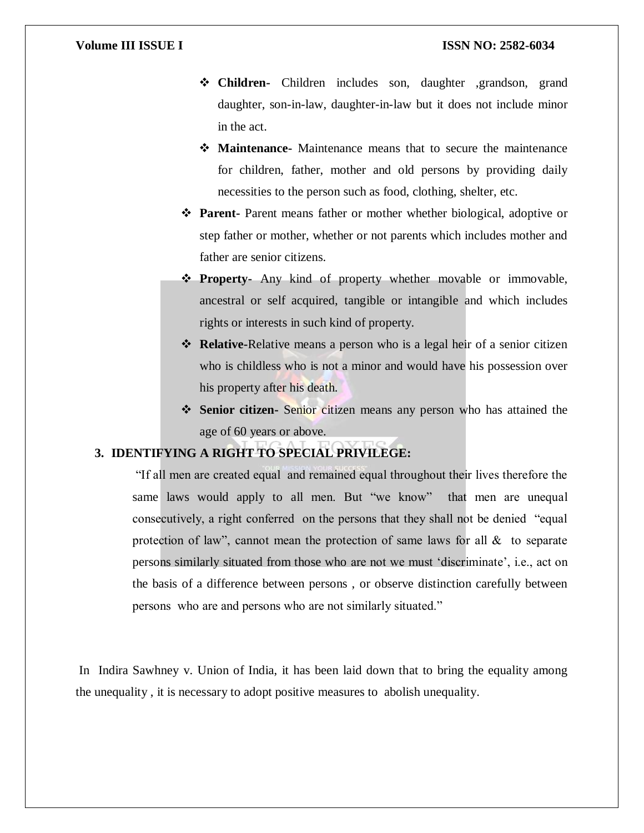- **Children-** Children includes son, daughter ,grandson, grand daughter, son-in-law, daughter-in-law but it does not include minor in the act.
- **Maintenance-** Maintenance means that to secure the maintenance for children, father, mother and old persons by providing daily necessities to the person such as food, clothing, shelter, etc.
- **Parent-** Parent means father or mother whether biological, adoptive or step father or mother, whether or not parents which includes mother and father are senior citizens.
- **Property-** Any kind of property whether movable or immovable, ancestral or self acquired, tangible or intangible and which includes rights or interests in such kind of property.
- **Relative-**Relative means a person who is a legal heir of a senior citizen who is childless who is not a minor and would have his possession over his property after his death.
- **Senior citizen-** Senior citizen means any person who has attained the age of 60 years or above.

### **3. IDENTIFYING A RIGHT TO SPECIAL PRIVILEGE:**

"If all men are created equal and remained equal throughout their lives therefore the same laws would apply to all men. But "we know" that men are unequal consecutively, a right conferred on the persons that they shall not be denied "equal protection of law", cannot mean the protection of same laws for all  $\&$  to separate persons similarly situated from those who are not we must 'discriminate', i.e., act on the basis of a difference between persons , or observe distinction carefully between persons who are and persons who are not similarly situated."

In Indira Sawhney v. Union of India, it has been laid down that to bring the equality among the unequality , it is necessary to adopt positive measures to abolish unequality.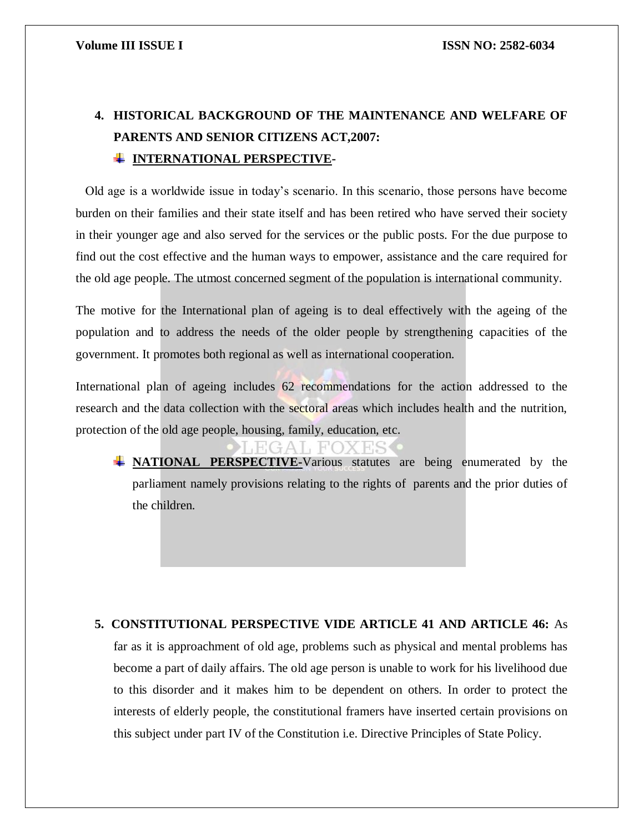## **4. HISTORICAL BACKGROUND OF THE MAINTENANCE AND WELFARE OF PARENTS AND SENIOR CITIZENS ACT,2007: INTERNATIONAL PERSPECTIVE-**

 Old age is a worldwide issue in today's scenario. In this scenario, those persons have become burden on their families and their state itself and has been retired who have served their society in their younger age and also served for the services or the public posts. For the due purpose to find out the cost effective and the human ways to empower, assistance and the care required for the old age people. The utmost concerned segment of the population is international community.

The motive for the International plan of ageing is to deal effectively with the ageing of the population and to address the needs of the older people by strengthening capacities of the government. It promotes both regional as well as international cooperation.

International plan of ageing includes 62 recommendations for the action addressed to the research and the data collection with the sectoral areas which includes health and the nutrition, protection of the old age people, housing, family, education, etc.

**ANTIONAL PERSPECTIVE-Various statutes are being enumerated by the** parliament namely provisions relating to the rights of parents and the prior duties of the children.

## **5. CONSTITUTIONAL PERSPECTIVE VIDE ARTICLE 41 AND ARTICLE 46:** As far as it is approachment of old age, problems such as physical and mental problems has become a part of daily affairs. The old age person is unable to work for his livelihood due to this disorder and it makes him to be dependent on others. In order to protect the interests of elderly people, the constitutional framers have inserted certain provisions on this subject under part IV of the Constitution i.e. Directive Principles of State Policy.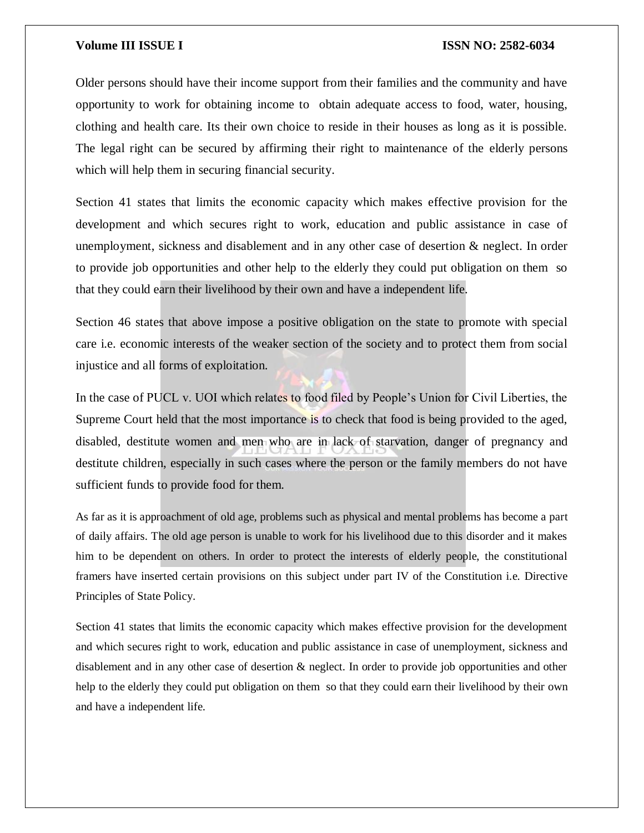Older persons should have their income support from their families and the community and have opportunity to work for obtaining income to obtain adequate access to food, water, housing, clothing and health care. Its their own choice to reside in their houses as long as it is possible. The legal right can be secured by affirming their right to maintenance of the elderly persons which will help them in securing financial security.

Section 41 states that limits the economic capacity which makes effective provision for the development and which secures right to work, education and public assistance in case of unemployment, sickness and disablement and in any other case of desertion & neglect. In order to provide job opportunities and other help to the elderly they could put obligation on them so that they could earn their livelihood by their own and have a independent life.

Section 46 states that above impose a positive obligation on the state to promote with special care i.e. economic interests of the weaker section of the society and to protect them from social injustice and all forms of exploitation.

In the case of PUCL v. UOI which relates to food filed by People's Union for Civil Liberties, the Supreme Court held that the most importance is to check that food is being provided to the aged, disabled, destitute women and men who are in lack of starvation, danger of pregnancy and destitute children, especially in such cases where the person or the family members do not have sufficient funds to provide food for them.

As far as it is approachment of old age, problems such as physical and mental problems has become a part of daily affairs. The old age person is unable to work for his livelihood due to this disorder and it makes him to be dependent on others. In order to protect the interests of elderly people, the constitutional framers have inserted certain provisions on this subject under part IV of the Constitution i.e. Directive Principles of State Policy.

Section 41 states that limits the economic capacity which makes effective provision for the development and which secures right to work, education and public assistance in case of unemployment, sickness and disablement and in any other case of desertion & neglect. In order to provide job opportunities and other help to the elderly they could put obligation on them so that they could earn their livelihood by their own and have a independent life.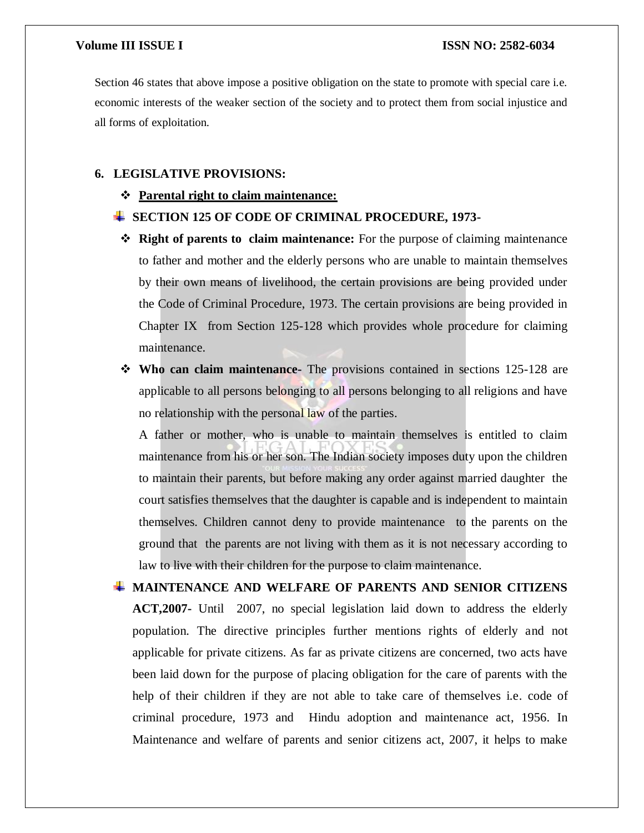Section 46 states that above impose a positive obligation on the state to promote with special care i.e. economic interests of the weaker section of the society and to protect them from social injustice and all forms of exploitation.

### **6. LEGISLATIVE PROVISIONS:**

**Parental right to claim maintenance:**

### **SECTION 125 OF CODE OF CRIMINAL PROCEDURE, 1973-**

- **Right of parents to claim maintenance:** For the purpose of claiming maintenance to father and mother and the elderly persons who are unable to maintain themselves by their own means of livelihood, the certain provisions are being provided under the Code of Criminal Procedure, 1973. The certain provisions are being provided in Chapter IX from Section 125-128 which provides whole procedure for claiming maintenance.
- **Who can claim maintenance-** The provisions contained in sections 125-128 are applicable to all persons belonging to all persons belonging to all religions and have no relationship with the personal law of the parties.

A father or mother, who is unable to maintain themselves is entitled to claim maintenance from his or her son. The Indian society imposes duty upon the children to maintain their parents, but before making any order against married daughter the court satisfies themselves that the daughter is capable and is independent to maintain themselves. Children cannot deny to provide maintenance to the parents on the ground that the parents are not living with them as it is not necessary according to law to live with their children for the purpose to claim maintenance.

**MAINTENANCE AND WELFARE OF PARENTS AND SENIOR CITIZENS ACT,2007-** Until 2007, no special legislation laid down to address the elderly population. The directive principles further mentions rights of elderly and not applicable for private citizens. As far as private citizens are concerned, two acts have been laid down for the purpose of placing obligation for the care of parents with the help of their children if they are not able to take care of themselves i.e. code of criminal procedure, 1973 and Hindu adoption and maintenance act, 1956. In Maintenance and welfare of parents and senior citizens act, 2007, it helps to make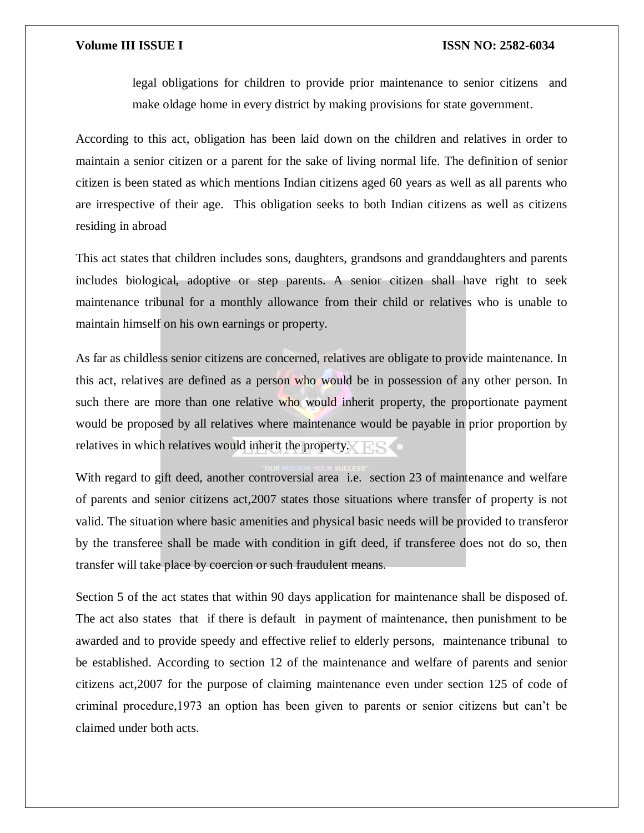legal obligations for children to provide prior maintenance to senior citizens and make oldage home in every district by making provisions for state government.

According to this act, obligation has been laid down on the children and relatives in order to maintain a senior citizen or a parent for the sake of living normal life. The definition of senior citizen is been stated as which mentions Indian citizens aged 60 years as well as all parents who are irrespective of their age. This obligation seeks to both Indian citizens as well as citizens residing in abroad

This act states that children includes sons, daughters, grandsons and granddaughters and parents includes biological, adoptive or step parents. A senior citizen shall have right to seek maintenance tribunal for a monthly allowance from their child or relatives who is unable to maintain himself on his own earnings or property.

As far as childless senior citizens are concerned, relatives are obligate to provide maintenance. In this act, relatives are defined as a person who would be in possession of any other person. In such there are more than one relative who would inherit property, the proportionate payment would be proposed by all relatives where maintenance would be payable in prior proportion by relatives in which relatives would inherit the property.

With regard to gift deed, another controversial area i.e. section 23 of maintenance and welfare of parents and senior citizens act,2007 states those situations where transfer of property is not valid. The situation where basic amenities and physical basic needs will be provided to transferor by the transferee shall be made with condition in gift deed, if transferee does not do so, then transfer will take place by coercion or such fraudulent means.

Section 5 of the act states that within 90 days application for maintenance shall be disposed of. The act also states that if there is default in payment of maintenance, then punishment to be awarded and to provide speedy and effective relief to elderly persons, maintenance tribunal to be established. According to section 12 of the maintenance and welfare of parents and senior citizens act,2007 for the purpose of claiming maintenance even under section 125 of code of criminal procedure,1973 an option has been given to parents or senior citizens but can't be claimed under both acts.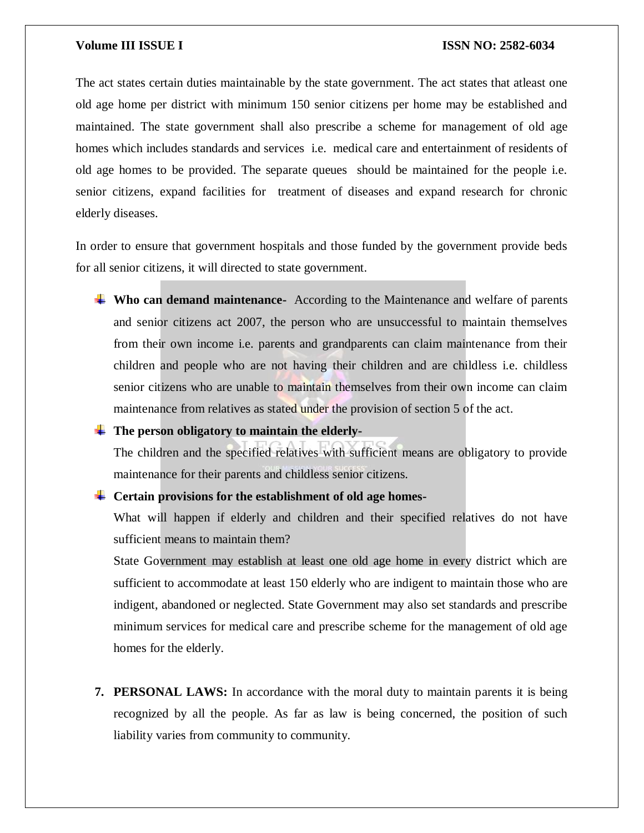The act states certain duties maintainable by the state government. The act states that atleast one old age home per district with minimum 150 senior citizens per home may be established and maintained. The state government shall also prescribe a scheme for management of old age homes which includes standards and services i.e. medical care and entertainment of residents of old age homes to be provided. The separate queues should be maintained for the people i.e. senior citizens, expand facilities for treatment of diseases and expand research for chronic elderly diseases.

In order to ensure that government hospitals and those funded by the government provide beds for all senior citizens, it will directed to state government.

- **Who can demand maintenance-** According to the Maintenance and welfare of parents and senior citizens act 2007, the person who are unsuccessful to maintain themselves from their own income i.e. parents and grandparents can claim maintenance from their children and people who are not having their children and are childless i.e. childless senior citizens who are unable to maintain themselves from their own income can claim maintenance from relatives as stated under the provision of section 5 of the act.
- <sup> $\pm$ </sup> The person obligatory to maintain the elderly-

The children and the specified relatives with sufficient means are obligatory to provide maintenance for their parents and childless senior citizens.

**Certain provisions for the establishment of old age homes-**

What will happen if elderly and children and their specified relatives do not have sufficient means to maintain them?

State Government may establish at least one old age home in every district which are sufficient to accommodate at least 150 elderly who are indigent to maintain those who are indigent, abandoned or neglected. State Government may also set standards and prescribe minimum services for medical care and prescribe scheme for the management of old age homes for the elderly.

**7. PERSONAL LAWS:** In accordance with the moral duty to maintain parents it is being recognized by all the people. As far as law is being concerned, the position of such liability varies from community to community.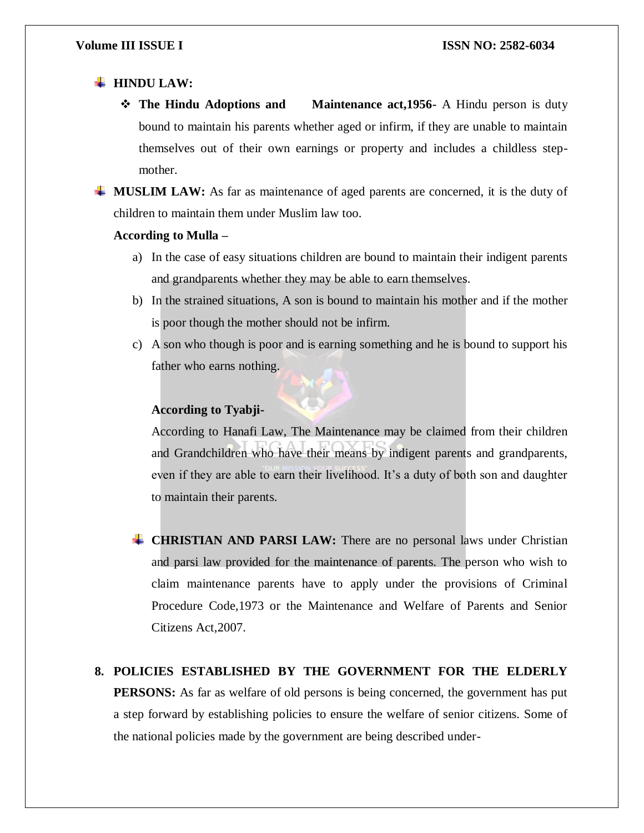### $\blacksquare$  **HINDU LAW:**

- **The Hindu Adoptions and Maintenance act,1956-** A Hindu person is duty bound to maintain his parents whether aged or infirm, if they are unable to maintain themselves out of their own earnings or property and includes a childless stepmother.
- **MUSLIM LAW:** As far as maintenance of aged parents are concerned, it is the duty of children to maintain them under Muslim law too.

### **According to Mulla –**

- a) In the case of easy situations children are bound to maintain their indigent parents and grandparents whether they may be able to earn themselves.
- b) In the strained situations, A son is bound to maintain his mother and if the mother is poor though the mother should not be infirm.
- c) A son who though is poor and is earning something and he is bound to support his father who earns nothing.

### **According to Tyabji-**

According to Hanafi Law, The Maintenance may be claimed from their children and Grandchildren who have their means by indigent parents and grandparents, even if they are able to earn their livelihood. It's a duty of both son and daughter to maintain their parents.

- **CHRISTIAN AND PARSI LAW:** There are no personal laws under Christian and parsi law provided for the maintenance of parents. The person who wish to claim maintenance parents have to apply under the provisions of Criminal Procedure Code,1973 or the Maintenance and Welfare of Parents and Senior Citizens Act,2007.
- **8. POLICIES ESTABLISHED BY THE GOVERNMENT FOR THE ELDERLY PERSONS:** As far as welfare of old persons is being concerned, the government has put a step forward by establishing policies to ensure the welfare of senior citizens. Some of the national policies made by the government are being described under-